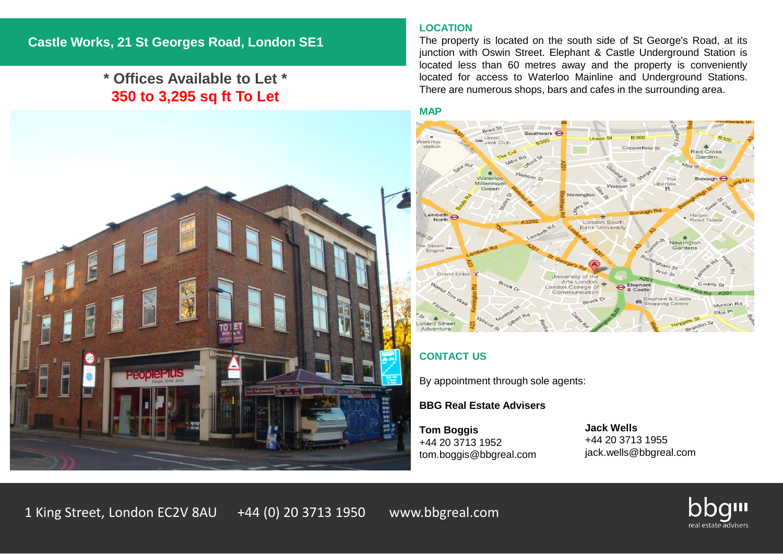# **\* Offices Available to Let \* 350 to 3,295 sq ft To Let**



The property is located on the south side of St George's Road, at its junction with Oswin Street. Elephant & Castle Underground Station is located less than 60 metres away and the property is conveniently located for access to Waterloo Mainline and Underground Stations. There are numerous shops, bars and cafes in the surrounding area.

#### **MAP**





# **CONTACT US**

By appointment through sole agents:

# **BBG Real Estate Advisers**

**Tom Boggis** +44 20 3713 1952 tom.boggis@bbgreal.com

**Jack Wells** +44 20 3713 1955 jack.wells@bbgreal.com

1 King Street, London EC2V 8AU +44 (0) 20 3713 1950 www.bbgreal.com

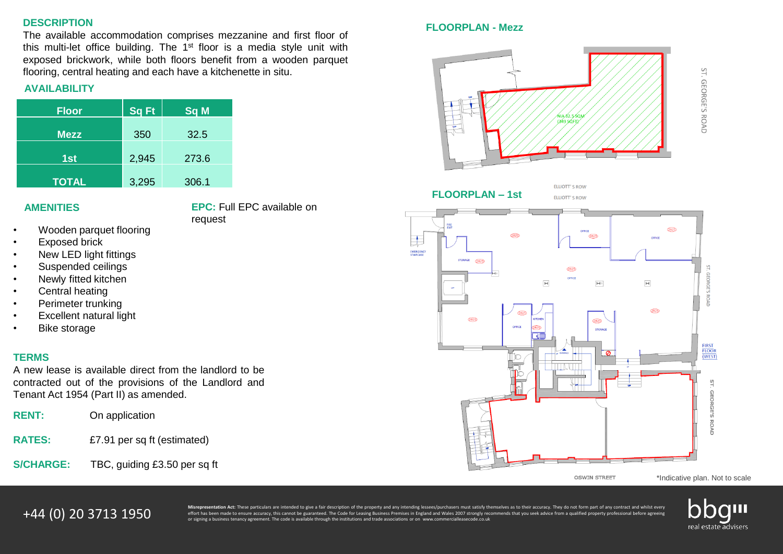#### **DESCRIPTION**

The available accommodation comprises mezzanine and first floor of this multi-let office building. The 1<sup>st</sup> floor is a media style unit with exposed brickwork, while both floors benefit from a wooden parquet flooring, central heating and each have a kitchenette in situ.

# **AVAILABILITY**

| <b>Floor</b> | $ $ Sq Ft $ $ | Sq M  |
|--------------|---------------|-------|
| <b>Mezz</b>  | 350           | 32.5  |
| 1st          | 2,945         | 273.6 |
| <b>TOTAL</b> | 3,295         | 306.1 |

# **AMENITIES**

**EPC:** Full EPC available on request

- Wooden parquet flooring
- Exposed brick
- New LED light fittings
- Suspended ceilings
- Newly fitted kitchen
- Central heating
- Perimeter trunking
- **Excellent natural light**
- **Bike storage**

#### **TERMS**

A new lease is available direct from the landlord to be contracted out of the provisions of the Landlord and Tenant Act 1954 (Part II) as amended.

| <b>RENT:</b>  | On application              |  |  |
|---------------|-----------------------------|--|--|
| <b>RATES:</b> | £7.91 per sq ft (estimated) |  |  |

**S/CHARGE:** TBC, guiding £3.50 per sq ft

### **FLOORPLAN - Mezz**



ST. GEORGE'S ROAD

**FLOORPLAN – 1st**



ELLIOTT' S ROW



**OSWIN STREET** 

\*Indicative plan. Not to scale

**44 (0) 20 3713 1950** Misrepresentation Act: These particulars are intended to give a fair description of the property and any intending lessees/purchasers must satisfy themselves as to their accuracy. They do not form par or signing a business tenancy agreement. The code is available through the institutions and trade associations or on www.commercialleasecode.co.uk